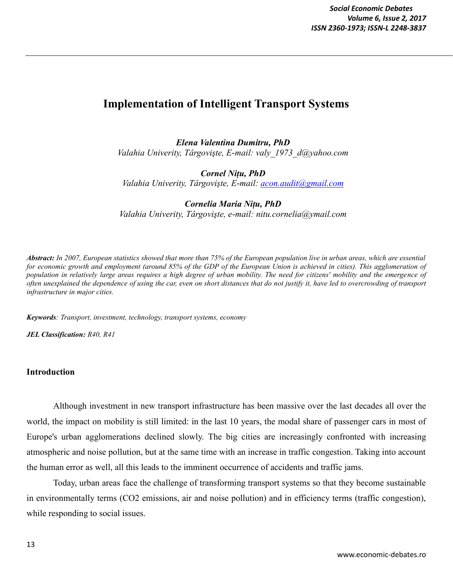# **Implementation of Intelligent Transport Systems**

*Elena Valentina Dumitru, PhD Valahia Univerity, Târgovişte, E-mail: valy\_1973\_d@yahoo.com*

*Cornel Nițu, PhD Valahia Univerity, Târgovişte, E-mail: [acon.audit@gmail.com](mailto:acon.audit@gmail.com)*

*Cornelia Maria Nițu, PhD Valahia Univerity, Târgovişte, e-mail: nitu.cornelia@ymail.com*

*Abstract: In 2007, European statistics showed that more than 75% of the European population live in urban areas, which are essential*  for economic growth and employment (around 85% of the GDP of the European Union is achieved in cities). This agglomeration of *population in relatively large areas requires a high degree of urban mobility. The need for citizens' mobility and the emergence of often unexplained the dependence of using the car, even on short distances that do not justify it, have led to overcrowding of transport infrastructure in major cities.*

*Keywords: Transport, investment, technology, transport systems, economy*

*JEL Classification: R40, R41*

## **Introduction**

Although investment in new transport infrastructure has been massive over the last decades all over the world, the impact on mobility is still limited: in the last 10 years, the modal share of passenger cars in most of Europe's urban agglomerations declined slowly. The big cities are increasingly confronted with increasing atmospheric and noise pollution, but at the same time with an increase in traffic congestion. Taking into account the human error as well, all this leads to the imminent occurrence of accidents and traffic jams.

Today, urban areas face the challenge of transforming transport systems so that they become sustainable in environmentally terms (CO2 emissions, air and noise pollution) and in efficiency terms (traffic congestion), while responding to social issues.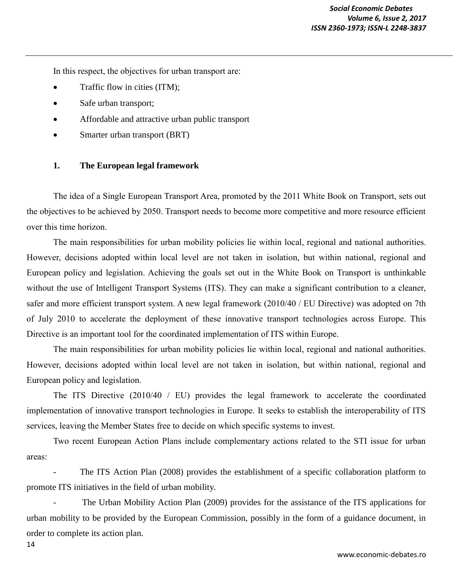In this respect, the objectives for urban transport are:

- Traffic flow in cities (ITM);
- Safe urban transport;
- Affordable and attractive urban public transport
- Smarter urban transport (BRT)

## **1. The European legal framework**

The idea of a Single European Transport Area, promoted by the 2011 White Book on Transport, sets out the objectives to be achieved by 2050. Transport needs to become more competitive and more resource efficient over this time horizon.

The main responsibilities for urban mobility policies lie within local, regional and national authorities. However, decisions adopted within local level are not taken in isolation, but within national, regional and European policy and legislation. Achieving the goals set out in the White Book on Transport is unthinkable without the use of Intelligent Transport Systems (ITS). They can make a significant contribution to a cleaner, safer and more efficient transport system. A new legal framework (2010/40 / EU Directive) was adopted on 7th of July 2010 to accelerate the deployment of these innovative transport technologies across Europe. This Directive is an important tool for the coordinated implementation of ITS within Europe.

The main responsibilities for urban mobility policies lie within local, regional and national authorities. However, decisions adopted within local level are not taken in isolation, but within national, regional and European policy and legislation.

The ITS Directive (2010/40 / EU) provides the legal framework to accelerate the coordinated implementation of innovative transport technologies in Europe. It seeks to establish the interoperability of ITS services, leaving the Member States free to decide on which specific systems to invest.

Two recent European Action Plans include complementary actions related to the STI issue for urban areas:

The ITS Action Plan (2008) provides the establishment of a specific collaboration platform to promote ITS initiatives in the field of urban mobility.

The Urban Mobility Action Plan (2009) provides for the assistance of the ITS applications for urban mobility to be provided by the European Commission, possibly in the form of a guidance document, in order to complete its action plan.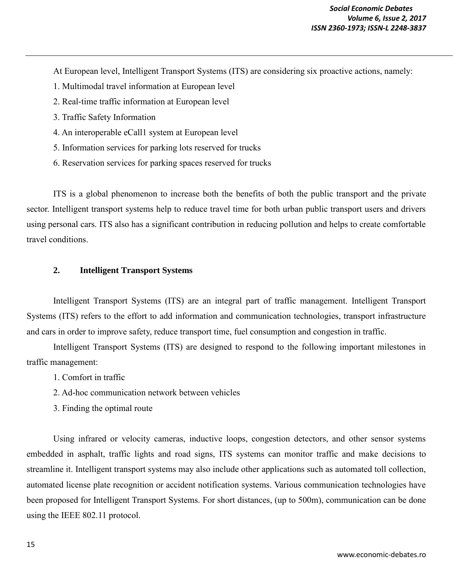At European level, Intelligent Transport Systems (ITS) are considering six proactive actions, namely:

- 1. Multimodal travel information at European level
- 2. Real-time traffic information at European level
- 3. Traffic Safety Information
- 4. An interoperable eCall1 system at European level
- 5. Information services for parking lots reserved for trucks
- 6. Reservation services for parking spaces reserved for trucks

ITS is a global phenomenon to increase both the benefits of both the public transport and the private sector. Intelligent transport systems help to reduce travel time for both urban public transport users and drivers using personal cars. ITS also has a significant contribution in reducing pollution and helps to create comfortable travel conditions.

## **2. Intelligent Transport Systems**

Intelligent Transport Systems (ITS) are an integral part of traffic management. Intelligent Transport Systems (ITS) refers to the effort to add information and communication technologies, transport infrastructure and cars in order to improve safety, reduce transport time, fuel consumption and congestion in traffic.

Intelligent Transport Systems (ITS) are designed to respond to the following important milestones in traffic management:

- 1. Comfort in traffic
- 2. Ad-hoc communication network between vehicles
- 3. Finding the optimal route

Using infrared or velocity cameras, inductive loops, congestion detectors, and other sensor systems embedded in asphalt, traffic lights and road signs, ITS systems can monitor traffic and make decisions to streamline it. Intelligent transport systems may also include other applications such as automated toll collection, automated license plate recognition or accident notification systems. Various communication technologies have been proposed for Intelligent Transport Systems. For short distances, (up to 500m), communication can be done using the IEEE 802.11 protocol.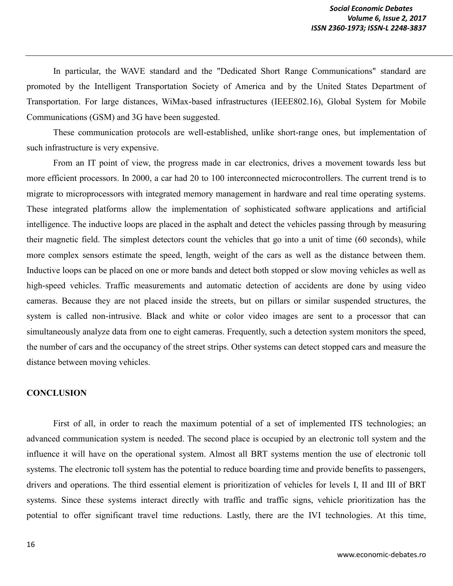In particular, the WAVE standard and the "Dedicated Short Range Communications" standard are promoted by the Intelligent Transportation Society of America and by the United States Department of Transportation. For large distances, WiMax-based infrastructures (IEEE802.16), Global System for Mobile Communications (GSM) and 3G have been suggested.

These communication protocols are well-established, unlike short-range ones, but implementation of such infrastructure is very expensive.

From an IT point of view, the progress made in car electronics, drives a movement towards less but more efficient processors. In 2000, a car had 20 to 100 interconnected microcontrollers. The current trend is to migrate to microprocessors with integrated memory management in hardware and real time operating systems. These integrated platforms allow the implementation of sophisticated software applications and artificial intelligence. The inductive loops are placed in the asphalt and detect the vehicles passing through by measuring their magnetic field. The simplest detectors count the vehicles that go into a unit of time (60 seconds), while more complex sensors estimate the speed, length, weight of the cars as well as the distance between them. Inductive loops can be placed on one or more bands and detect both stopped or slow moving vehicles as well as high-speed vehicles. Traffic measurements and automatic detection of accidents are done by using video cameras. Because they are not placed inside the streets, but on pillars or similar suspended structures, the system is called non-intrusive. Black and white or color video images are sent to a processor that can simultaneously analyze data from one to eight cameras. Frequently, such a detection system monitors the speed, the number of cars and the occupancy of the street strips. Other systems can detect stopped cars and measure the distance between moving vehicles.

## **CONCLUSION**

First of all, in order to reach the maximum potential of a set of implemented ITS technologies; an advanced communication system is needed. The second place is occupied by an electronic toll system and the influence it will have on the operational system. Almost all BRT systems mention the use of electronic toll systems. The electronic toll system has the potential to reduce boarding time and provide benefits to passengers, drivers and operations. The third essential element is prioritization of vehicles for levels I, II and III of BRT systems. Since these systems interact directly with traffic and traffic signs, vehicle prioritization has the potential to offer significant travel time reductions. Lastly, there are the IVI technologies. At this time,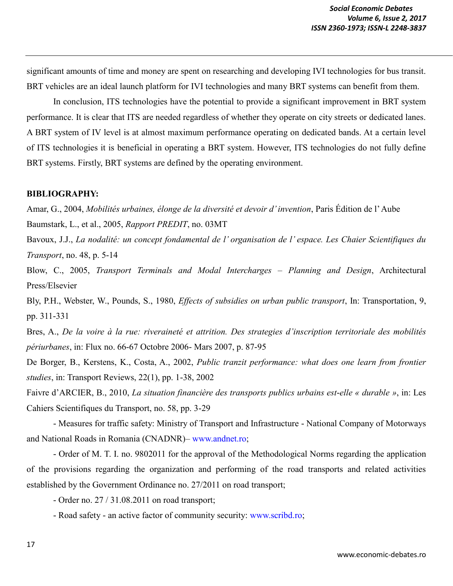significant amounts of time and money are spent on researching and developing IVI technologies for bus transit. BRT vehicles are an ideal launch platform for IVI technologies and many BRT systems can benefit from them.

In conclusion, ITS technologies have the potential to provide a significant improvement in BRT system performance. It is clear that ITS are needed regardless of whether they operate on city streets or dedicated lanes. A BRT system of IV level is at almost maximum performance operating on dedicated bands. At a certain level of ITS technologies it is beneficial in operating a BRT system. However, ITS technologies do not fully define BRT systems. Firstly, BRT systems are defined by the operating environment.

### **BIBLIOGRAPHY:**

Amar, G., 2004, *Mobilités urbaines, élonge de la diversité et devoir d' invention*, Paris Édition de l' Aube Baumstark, L., et al., 2005, *Rapport PREDIT*, no. 03MT

Bavoux, J.J., *La nodalité: un concept fondamental de l' organisation de l' espace. Les Chaier Scientifiques du Transport*, no. 48, p. 5-14

Blow, C., 2005, *Transport Terminals and Modal Intercharges – Planning and Design*, Architectural Press/Elsevier

Bly, P.H., Webster, W., Pounds, S., 1980, *Effects of subsidies on urban public transport*, In: Transportation, 9, pp. 311-331

Bres, A., *De la voire à la rue: riveraineté et attrition. Des strategies d'inscription territoriale des mobilités périurbanes*, in: Flux no. 66-67 Octobre 2006- Mars 2007, p. 87-95

De Borger, B., Kerstens, K., Costa, A., 2002, *Public tranzit performance: what does one learn from frontier studies*, in: Transport Reviews, 22(1), pp. 1-38, 2002

Faivre d'ARCIER, B., 2010, *La situation financière des transports publics urbains est-elle « durable »*, in: Les Cahiers Scientifiques du Transport, no. 58, pp. 3-29

- Measures for traffic safety: Ministry of Transport and Infrastructure - National Company of Motorways and National Roads in Romania (CNADNR)– www.andnet.ro;

- Order of M. T. I. no. 9802011 for the approval of the Methodological Norms regarding the application of the provisions regarding the organization and performing of the road transports and related activities established by the Government Ordinance no. 27/2011 on road transport;

- Order no. 27 / 31.08.2011 on road transport;

- Road safety - an active factor of community security: www.scribd.ro;